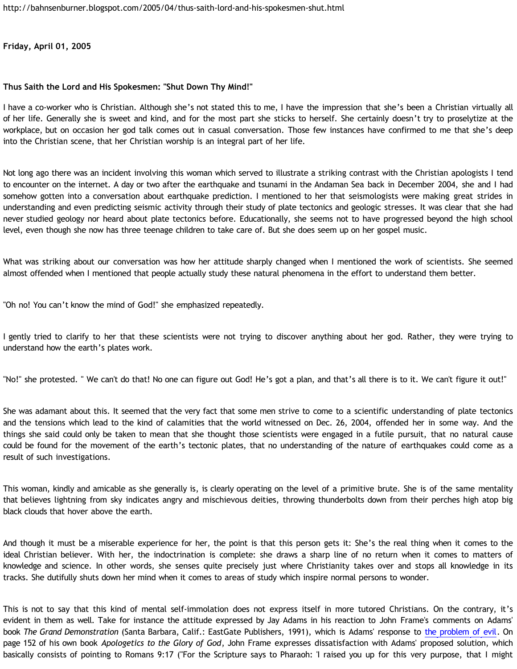**Friday, April 01, 2005**

## **Thus Saith the Lord and His Spokesmen: "Shut Down Thy Mind!"**

I have a co-worker who is Christian. Although she's not stated this to me, I have the impression that she's been a Christian virtually all of her life. Generally she is sweet and kind, and for the most part she sticks to herself. She certainly doesn't try to proselytize at the workplace, but on occasion her god talk comes out in casual conversation. Those few instances have confirmed to me that she's deep into the Christian scene, that her Christian worship is an integral part of her life.

Not long ago there was an incident involving this woman which served to illustrate a striking contrast with the Christian apologists I tend to encounter on the internet. A day or two after the earthquake and tsunami in the Andaman Sea back in December 2004, she and I had somehow gotten into a conversation about earthquake prediction. I mentioned to her that seismologists were making great strides in understanding and even predicting seismic activity through their study of plate tectonics and geologic stresses. It was clear that she had never studied geology nor heard about plate tectonics before. Educationally, she seems not to have progressed beyond the high school level, even though she now has three teenage children to take care of. But she does seem up on her gospel music.

What was striking about our conversation was how her attitude sharply changed when I mentioned the work of scientists. She seemed almost offended when I mentioned that people actually study these natural phenomena in the effort to understand them better.

"Oh no! You can't know the mind of God!" she emphasized repeatedly.

I gently tried to clarify to her that these scientists were not trying to discover anything about her god. Rather, they were trying to understand how the earth's plates work.

"No!" she protested. " We can't do that! No one can figure out God! He's got a plan, and that's all there is to it. We can't figure it out!"

She was adamant about this. It seemed that the very fact that some men strive to come to a scientific understanding of plate tectonics and the tensions which lead to the kind of calamities that the world witnessed on Dec. 26, 2004, offended her in some way. And the things she said could only be taken to mean that she thought those scientists were engaged in a futile pursuit, that no natural cause could be found for the movement of the earth's tectonic plates, that no understanding of the nature of earthquakes could come as a result of such investigations.

This woman, kindly and amicable as she generally is, is clearly operating on the level of a primitive brute. She is of the same mentality that believes lightning from sky indicates angry and mischievous deities, throwing thunderbolts down from their perches high atop big black clouds that hover above the earth.

And though it must be a miserable experience for her, the point is that this person gets it: She's the real thing when it comes to the ideal Christian believer. With her, the indoctrination is complete: she draws a sharp line of no return when it comes to matters of knowledge and science. In other words, she senses quite precisely just where Christianity takes over and stops all knowledge in its tracks. She dutifully shuts down her mind when it comes to areas of study which inspire normal persons to wonder.

This is not to say that this kind of mental self-immolation does not express itself in more tutored Christians. On the contrary, it's evident in them as well. Take for instance the attitude expressed by Jay Adams in his reaction to John Frame's comments on Adams' book *The Grand Demonstration* (Santa Barbara, Calif.: EastGate Publishers, 1991), which is Adams' response to [the problem of evil.](http://en.wikipedia.org/wiki/Problem_of_evil) On page 152 of his own book *Apologetics to the Glory of God*, John Frame expresses dissatisfaction with Adams' proposed solution, which basically consists of pointing to Romans 9:17 ("For the Scripture says to Pharaoh: 'I raised you up for this very purpose, that I might